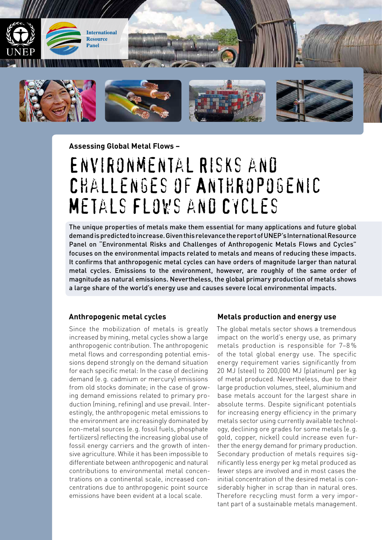

**Assessing Global Metal Flows –** 

# Environmental Risks and Challenges of Anthropogenic Metals Flows and Cycles

The unique properties of metals make them essential for many applications and future global demand is predicted to increase. Given this relevance the report of UNEP's International Resource Panel on "Environmental Risks and Challenges of Anthropogenic Metals Flows and Cycles" focuses on the environmental impacts related to metals and means of reducing these impacts. It confirms that anthropogenic metal cycles can have orders of magnitude larger than natural metal cycles. Emissions to the environment, however, are roughly of the same order of magnitude as natural emissions. Nevertheless, the global primary production of metals shows a large share of the world's energy use and causes severe local environmental impacts.

#### **Anthropogenic metal cycles**

Since the mobilization of metals is greatly increased by mining, metal cycles show a large anthropogenic contribution. The anthropogenic metal flows and corresponding potential emissions depend strongly on the demand situation for each specific metal: In the case of declining demand (e.g. cadmium or mercury) emissions from old stocks dominate; in the case of growing demand emissions related to primary production (mining, refining) and use prevail. Interestingly, the anthropogenic metal emissions to the environment are increasingly dominated by non-metal sources (e.g. fossil fuels, phosphate fertilizers) reflecting the increasing global use of fossil energy carriers and the growth of intensive agriculture. While it has been impossible to differentiate between anthropogenic and natural contributions to environmental metal concentrations on a continental scale, increased concentrations due to anthropogenic point source emissions have been evident at a local scale.

#### **Metals production and energy use**

The global metals sector shows a tremendous impact on the world's energy use, as primary metals production is responsible for 7–8 % of the total global energy use. The specific energy requirement varies significantly from 20 MJ (steel) to 200,000 MJ (platinum) per kg of metal produced. Nevertheless, due to their large production volumes, steel, aluminium and base metals account for the largest share in absolute terms. Despite significant potentials for increasing energy efficiency in the primary metals sector using currently available technology, declining ore grades for some metals (e.g. gold, copper, nickel) could increase even further the energy demand for primary production. Secondary production of metals requires significantly less energy per kg metal produced as fewer steps are involved and in most cases the initial concentration of the desired metal is considerably higher in scrap than in natural ores. Therefore recycling must form a very important part of a sustainable metals management.